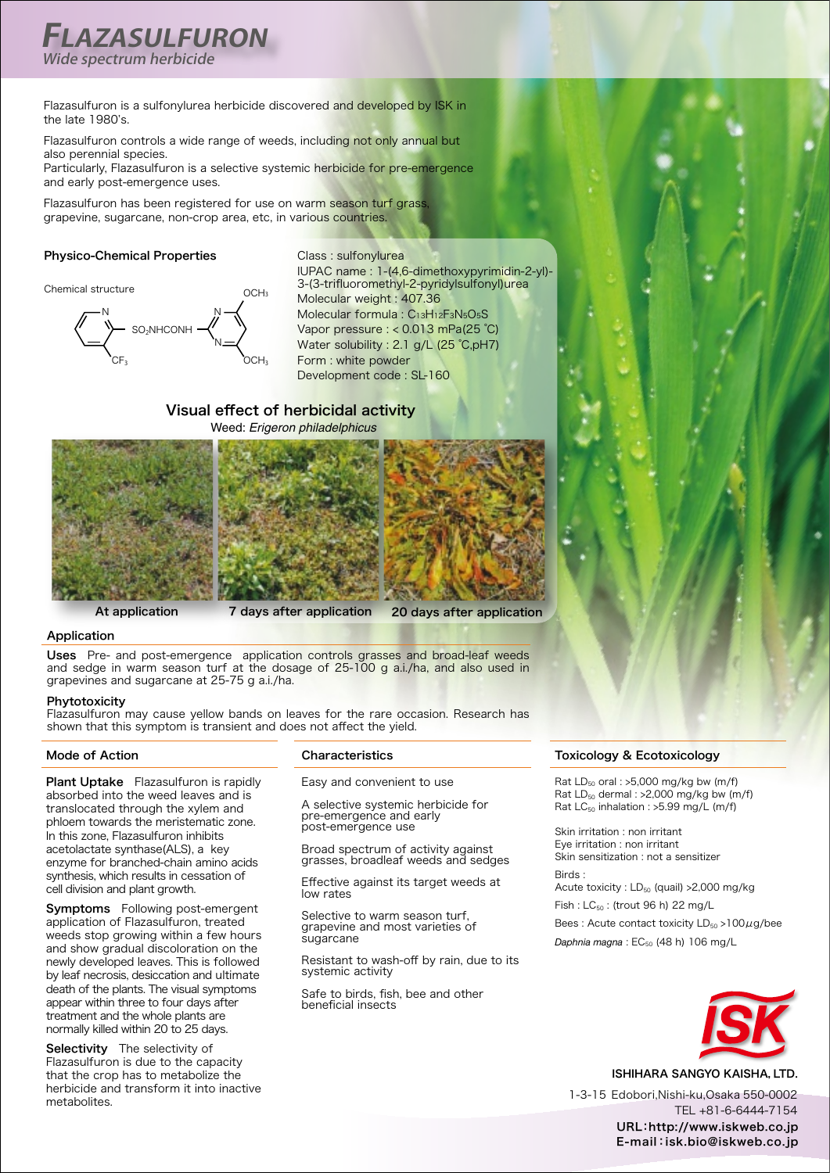# **FLAZASULFURON** Wide spectrum herbicide

Flazasulfuron is a sulfonylurea herbicide discovered and developed by ISK in the late  $1980$ 's.

Flazasulfuron controls a wide range of weeds, including not only annual but also perennial species.

Particularly. Flazasulfuron is a selective systemic herbicide for pre-emergence and early post-emergence uses.

OCH<sub>3</sub>

Flazasulfuron has been registered for use on warm season turf grass, grapevine, sugarcane, non-crop area, etc, in various countries.

### Physico-Chemical Properties





Class : sulfonylurea IUPAC name : 1-(4,6-dimethoxypyrimidin-2-yl)-3-(3-trifluoromethyl-2-pyridylsulfonyl)urea Molecular weight : 407.36 Molecular formula : C13H12F3N5O5S Vapor pressure  $: < 0.013$  mPa(25 °C) Water solubility : 2.1 g/L (25 °C,pH7) Form : white powder Development code : SL-160

### Visual effect of herbicidal activity **Weed: Erigeron philadelphicus**



At application **20** application after application after application

### Application

Uses Pre- and post-emergence application controls grasses and broad-leaf weeds and sedge in warm season turf at the dosage of  $25-100$  g a.i./ha, and also used in grapevines and sugarcane at 25-75 g a.i./ha.

### Phytotoxicity

Flazasulfuron may cause yellow bands on leaves for the rare occasion. Research has shown that this symptom is transient and does not affect the vield.

### **Mode of Action**

Plant Uptake Flazasulfuron is rapidly absorbed into the weed leaves and is translocated through the xylem and phloem towards the meristematic zone. in this zone, Flazasulfuron inhibits acetolactate synthase(ALS), a key enzyme for branched-chain amino acids synthesis, which results in cessation of cell division and plant growth.

Symptoms Following post-emergent application of Flazasulfuron, treated weeds stop growing within a few hours and show gradual discoloration on the newly developed leaves. This is followed by leaf necrosis, desiccation and ultimate death of the plants. The visual symptoms appear within three to four days after treatment and the whole plants are normally killed within 20 to 25 days.

Selectivity The selectivity of Flazasulfuron is due to the capacity that the crop has to metabolize the herbicide and transform it into inactive .metabolites

### **Characteristics**

Easy and convenient to use

A selective systemic herbicide for pre-emergence and early post-emergence use

Broad spectrum of activity against grasses, broadleaf weeds and sedges

Effective against its target weeds at low rates

Selective to warm season turf. grapevine and most varieties of sugarcane

Resistant to wash-off by rain, due to its systemic activity

Safe to birds, fish, bee and other beneficial insects

### **Toxicology & Ecotoxicology**

Rat  $LD_{50}$  oral : >5,000 mg/kg bw (m/f) Rat  $LD_{50}$  dermal : >2,000 mg/kg bw (m/f) Rat  $LC_{50}$  inhalation : >5.99 mg/L (m/f)

Skin irritation : non irritant Eye irritation : non irritant Skin sensitization : not a sensitizer : Birds

Acute toxicity :  $LD_{50}$  (quail) > 2,000 mg/kg

Fish :  $LC_{50}$  : (trout 96 h) 22 mg/L

Bees: Acute contact toxicity  $LD_{50} > 100 \mu g /$ bee Daphnia magna : EC<sub>50</sub> (48 h) 106 mg/L



ISHIHARA SANGYO KAISHA, LTD.

1-3-15 Edobori.Nishi-ku.Osaka 550-0002 TEL +81-6-6444-7154 URL:http://www.iskweb.co.jp E-mail: isk.bio@iskweb.co.jp